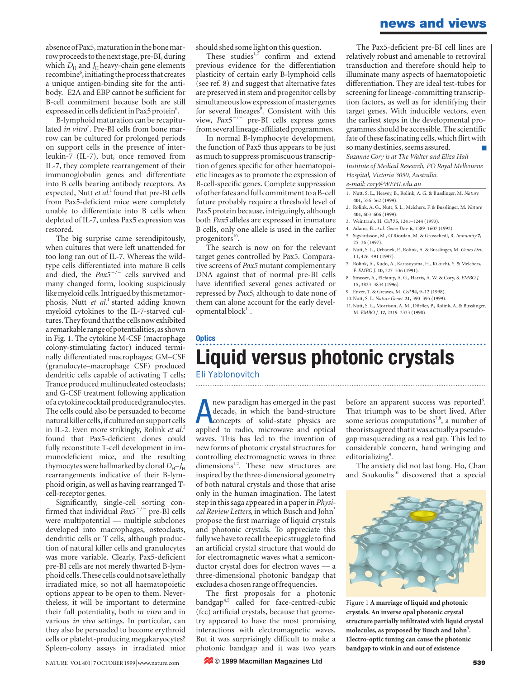### **news and views**

absence of Pax5, maturation in the bone marrow proceeds to the next stage, pre-BI, during which  $D_H$  and  $J_H$  heavy-chain gene elements recombine<sup>6</sup>, initiating the process that creates a unique antigen-binding site for the antibody. E2A and EBP cannot be sufficient for B-cell commitment because both are still expressed in cells deficient in Pax5 protein<sup>6</sup>.

B-lymphoid maturation can be recapitulated *in vitro*<sup>7</sup>. Pre-BI cells from bone marrow can be cultured for prolonged periods on support cells in the presence of interleukin-7 (IL-7), but, once removed from IL-7, they complete rearrangement of their immunoglobulin genes and differentiate into B cells bearing antibody receptors. As expected, Nutt et al.<sup>1</sup> found that pre-BI cells from Pax5-deficient mice were completely unable to differentiate into B cells when depleted of IL-7, unless Pax5 expression was restored.

The big surprise came serendipitously, when cultures that were left unattended for too long ran out of IL-7. Whereas the wildtype cells differentiated into mature B cells and died, the *Pax5<sup>-/-</sup>* cells survived and many changed form, looking suspiciously like myeloid cells. Intrigued by this metamorphosis, Nutt *et al*. 1 started adding known myeloid cytokines to the IL-7-starved cultures. They found that the cells now exhibited a remarkable range of potentialities, as shown in Fig. 1. The cytokine M-CSF (macrophage colony-stimulating factor) induced terminally differentiated macrophages; GM–CSF (granulocyte–macrophage CSF) produced dendritic cells capable of activating T cells; Trance produced multinucleated osteoclasts; and G-CSF treatment following application of a cytokine cocktail produced granulocytes. The cells could also be persuaded to become natural killer cells, if cultured on support cells in IL-2. Even more strikingly, Rolink *et al.*<sup>2</sup> found that Pax5-deficient clones could fully reconstitute T-cell development in immunodeficient mice, and the resulting thymocytes were hallmarked by clonal  $D_H$ –*J*<sub>H</sub> rearrangements indicative of their B-lymphoid origin, as well as having rearranged Tcell-receptor genes.

Significantly, single-cell sorting confirmed that individual *Pax5<sup>-/-</sup>* pre-BI cells were multipotential — multiple subclones developed into macrophages, osteoclasts, dendritic cells or T cells, although production of natural killer cells and granulocytes was more variable. Clearly, Pax5-deficient pre-BI cells are not merely thwarted B-lymphoid cells. These cells could not save lethally irradiated mice, so not all haematopoietic options appear to be open to them. Nevertheless, it will be important to determine their full potentiality, both *in vitro* and in various *in vivo* settings. In particular, can they also be persuaded to become erythroid cells or platelet-producing megakaryocytes? Spleen-colony assays in irradiated mice

should shed some light on this question.

These studies $1,2}$  confirm and extend previous evidence for the differentiation plasticity of certain early B-lymphoid cells (see ref. 8) and suggest that alternative fates are preserved in stem and progenitor cells by simultaneous low expression of master genes for several lineages<sup>9</sup>. Consistent with this view,  $Pax5^{-/-}$  pre-BI cells express genes from several lineage-affiliated programmes.

In normal B-lymphocyte development, the function of Pax5 thus appears to be just as much to suppress promiscuous transcription of genes specific for other haematopoietic lineages as to promote the expression of B-cell-specific genes. Complete suppression of other fates and full commitment to a B-cell future probably require a threshold level of Pax5 protein because, intriguingly, although both *Pax5* alleles are expressed in immature B cells, only one allele is used in the earlier progenitors 10.

The search is now on for the relevant target genes controlled by Pax5. Comparative screens of *Pax5* mutant complementary DNA against that of normal pre-BI cells have identified several genes activated or repressed by *Pax5*, although to date none of them can alone account for the early developmental block<sup>11</sup>.

The Pax5-deficient pre-BI cell lines are relatively robust and amenable to retroviral transduction and therefore should help to illuminate many aspects of haematopoietic differentiation. They are ideal test-tubes for screening for lineage-committing transcription factors, as well as for identifying their target genes. With inducible vectors, even the earliest steps in the developmental programmes should be accessible. The scientific fate of these fascinating cells, which flirt with so many destinies, seems assured. *Suzanne Cory is at The Walter and Eliza Hall Institute of Medical Research, PO Royal Melbourne Hospital, Victoria 3050, Australia. e-mail: cory@WEHI.edu.au*

1. Nutt, S. L., Heavey, B., Rolink, A. G. & Busslinger, M. *Nature* **401,** 556–562 (1999).

- 2. Rolink, A. G., Nutt, S. L., Melchers, F. & Busslinger, M. *Nature* **401,** 603–606 (1999).
- 3. Weintraub, H. *Cell* **75,** 1241–1244 (1993).
- 4. Adams, B. *et al. Genes Dev*. **6,** 1589–1607 (1992).
- 5. Sigvardsson, M., O'Riordan, M. & Grosschedl, R. *Immunity* **7,** 25–36 (1997).
- 6. Nutt, S. L., Urbanek, P., Rolink, A. & Busslinger, M. *Genes Dev.* **11,** 476–491 (1997).
- 7. Rolink, A., Kudo, A., Karasuyama, H., Kikuchi, Y. & Melchers, F. *EMBO J.* **10,** 327–336 (1991).
- 8. Strasser, A., Elefanty, A. G., Harris, A. W. & Cory, S. *EMBO J.* **15,** 3823–3834 (1996).
- 9. Enver, T. & Greaves, M. *Cell* **94,** 9–12 (1998).
- 10.Nutt, S. L. *Nature Genet*. **21,** 390–395 (1999).
- 11.Nutt, S. L., Morrison, A. M., Dörfler, P., Rolink, A. & Busslinger, M. *EMBO J.* **17,** 2319–2333 (1998).

# **Liquid versus photonic crystals**

Eli Yablonovitch

**Optics**

**A** new paradigm has emerged in the past decade, in which the band-structure concepts of solid-state physics are applied to radio, microwave and optical new paradigm has emerged in the past decade, in which the band-structure concepts of solid-state physics are waves. This has led to the invention of new forms of photonic crystal structures for controlling electromagnetic waves in three dimensions<sup>1,2</sup>. These new structures are inspired by the three-dimensional geometry of both natural crystals and those that arise only in the human imagination. The latest step in this saga appeared in a paper in *Physi*cal Review Letters, in which Busch and John<sup>3</sup> propose the first marriage of liquid crystals and photonic crystals. To appreciate this fully we have to recall the epic struggle to find an artificial crystal structure that would do for electromagnetic waves what a semiconductor crystal does for electron waves — a three-dimensional photonic bandgap that excludes a chosen range of frequencies.

The first proposals for a photonic bandgap<sup>4,5</sup> called for face-centred-cubic (fcc) artificial crystals, because that geometry appeared to have the most promising interactions with electromagnetic waves. But it was surprisingly difficult to make a photonic bandgap and it was two years

before an apparent success was reported<sup>6</sup>. That triumph was to be short lived. After some serious computations<sup>7,8</sup>, a number of theorists agreed that it was actually a pseudogap masquerading as a real gap. This led to considerable concern, hand wringing and editorializing<sup>9</sup>.

The anxiety did not last long. Ho, Chan and Soukoulis $10$  discovered that a special



Figure 1 **A marriage of liquid and photonic crystals. An inverse opal photonic crystal structure partially infiltrated with liquid crystal molecules, as proposed by Busch and John<sup>3</sup> . Electro-optic tuning can cause the photonic bandgap to wink in and out of existence**